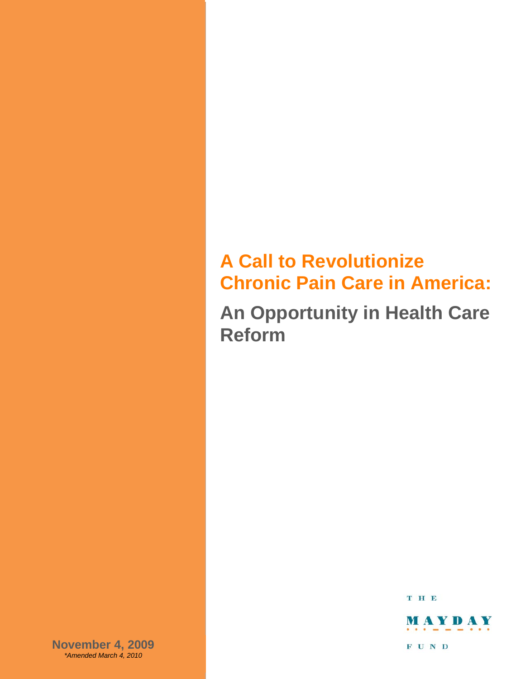# **A Call to Revolutionize Chronic Pain Care in America:**

**An Opportunity in Health Care Reform**

T H E



**November 4, 2009** *\*Amended March 4, 2010*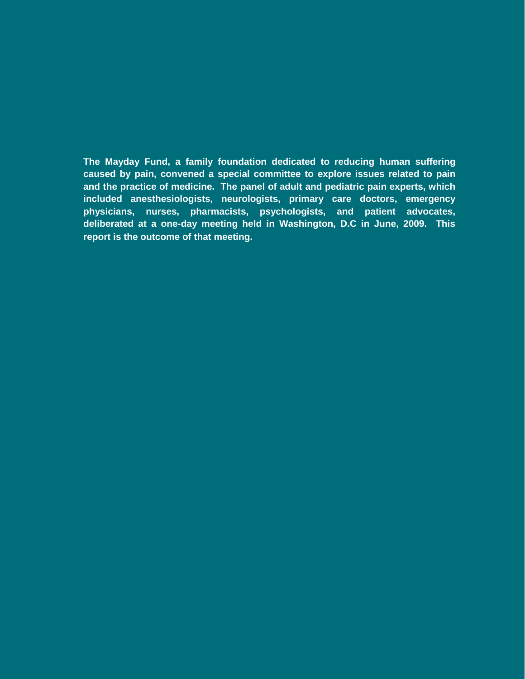**The Mayday Fund, a family foundation dedicated to reducing human suffering caused by pain, convened a special committee to explore issues related to pain and the practice of medicine. The panel of adult and pediatric pain experts, which included anesthesiologists, neurologists, primary care doctors, emergency physicians, nurses, pharmacists, psychologists, and patient advocates, deliberated at a one-day meeting held in Washington, D.C in June, 2009. This report is the outcome of that meeting.**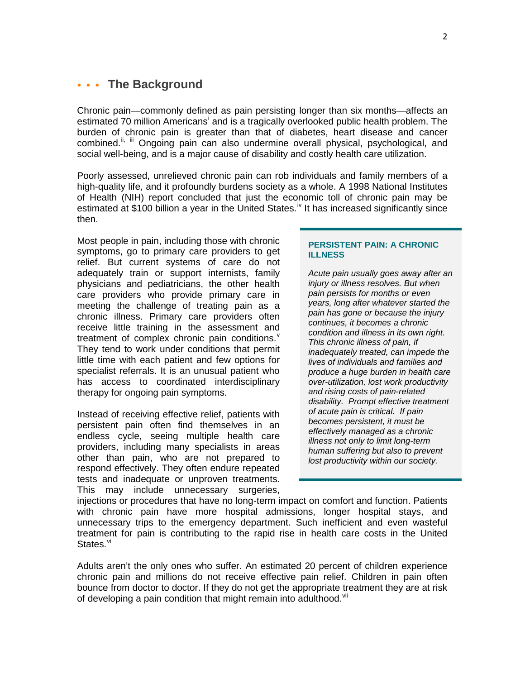# **We Background**

Chronic pain—commonly defined as pain persisting longer than six months—affects an est[i](#page-14-0)mated 70 million Americans<sup>i</sup> and is a tragically overlooked public health problem. The burden of chronic pain is greater than that of diabetes, heart disease and cancer combined.<sup>[ii](#page-14-1), [iii](#page-14-2)</sup> Ongoing pain can also undermine overall physical, psychological, and social well-being, and is a major cause of disability and costly health care utilization.

Poorly assessed, unrelieved chronic pain can rob individuals and family members of a high-quality life, and it profoundly burdens society as a whole. A 1998 National Institutes of Health (NIH) report concluded that just the economic toll of chronic pain may be estimated at \$100 billion a year in the United States.<sup>[iv](#page-14-3)</sup> It has increased significantly since then.

Most people in pain, including those with chronic symptoms, go to primary care providers to get relief. But current systems of care do not adequately train or support internists, family physicians and pediatricians, the other health care providers who provide primary care in meeting the challenge of treating pain as a chronic illness. Primary care providers often receive little training in the assessment and treatment of complex chronic pain conditions.<sup>[v](#page-14-4)</sup> They tend to work under conditions that permit little time with each patient and few options for specialist referrals. It is an unusual patient who has access to coordinated interdisciplinary therapy for ongoing pain symptoms.

Instead of receiving effective relief, patients with persistent pain often find themselves in an endless cycle, seeing multiple health care providers, including many specialists in areas other than pain, who are not prepared to respond effectively. They often endure repeated tests and inadequate or unproven treatments. This may include unnecessary surgeries,

## **PERSISTENT PAIN: A CHRONIC ILLNESS**

*Acute pain usually goes away after an injury or illness resolves. But when pain persists for months or even years, long after whatever started the pain has gone or because the injury continues, it becomes a chronic condition and illness in its own right. This chronic illness of pain, if inadequately treated, can impede the lives of individuals and families and produce a huge burden in health care over-utilization, lost work productivity and rising costs of pain-related disability. Prompt effective treatment of acute pain is critical. If pain becomes persistent, it must be effectively managed as a chronic illness not only to limit long-term human suffering but also to prevent lost productivity within our society.*

injections or procedures that have no long-term impact on comfort and function. Patients with chronic pain have more hospital admissions, longer hospital stays, and unnecessary trips to the emergency department. Such inefficient and even wasteful treatment for pain is contributing to the rapid rise in health care costs in the United States.<sup>[vi](#page-14-5)</sup>

Adults aren't the only ones who suffer. An estimated 20 percent of children experience chronic pain and millions do not receive effective pain relief. Children in pain often bounce from doctor to doctor. If they do not get the appropriate treatment they are at risk of developing a pain condition that might remain into adulthood.<sup>[vii](#page-14-6)</sup>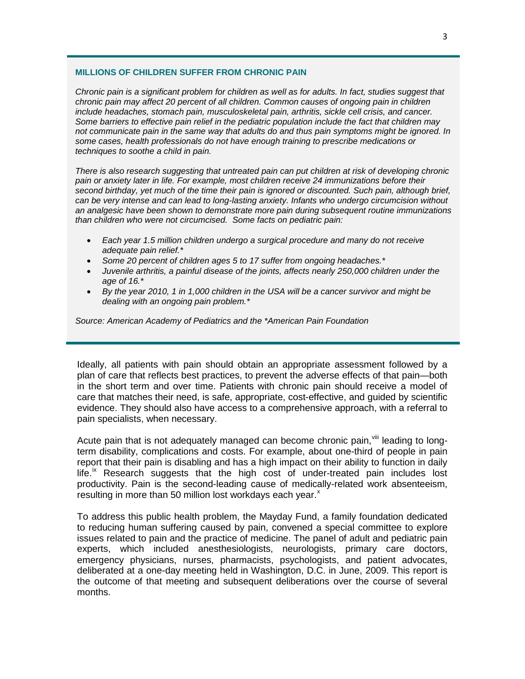## **MILLIONS OF CHILDREN SUFFER FROM CHRONIC PAIN**

*Chronic pain is a significant problem for children as well as for adults. In fact, studies suggest that chronic pain may affect 20 percent of all children. Common causes of ongoing pain in children include headaches, stomach pain, musculoskeletal pain, arthritis, sickle cell crisis, and cancer. Some barriers to effective pain relief in the pediatric population include the fact that children may not communicate pain in the same way that adults do and thus pain symptoms might be ignored. In some cases, health professionals do not have enough training to prescribe medications or techniques to soothe a child in pain.* 

*There is also research suggesting that untreated pain can put children at risk of developing chronic pain or anxiety later in life. For example, most children receive 24 immunizations before their second birthday, yet much of the time their pain is ignored or discounted. Such pain, although brief, can be very intense and can lead to long-lasting anxiety. Infants who undergo circumcision without an analgesic have been shown to demonstrate more pain during subsequent routine immunizations than children who were not circumcised. Some facts on pediatric pain:*

- *Each year 1.5 million children undergo a surgical procedure and many do not receive adequate pain relief.\**
- *Some 20 percent of children ages 5 to 17 suffer from ongoing headaches.\**
- *Juvenile arthritis, a painful disease of the joints, affects nearly 250,000 children under the age of 16.\**
- *By the year 2010, 1 in 1,000 children in the USA will be a cancer survivor and might be dealing with an ongoing pain problem.\**

*Source: American Academy of Pediatrics and the \*American Pain Foundation*

Ideally, all patients with pain should obtain an appropriate assessment followed by a plan of care that reflects best practices, to prevent the adverse effects of that pain—both in the short term and over time. Patients with chronic pain should receive a model of care that matches their need, is safe, appropriate, cost-effective, and guided by scientific evidence. They should also have access to a comprehensive approach, with a referral to pain specialists, when necessary.

Acute pain that is not adequately managed can become chronic pain, Xill leading to longterm disability, complications and costs. For example, about one-third of people in pain report that their pain is disabling and has a high impact on their ability to function in daily  $l$ ife.<sup>[ix](#page-14-8)</sup> Research suggests that the high cost of under-treated pain includes lost productivity. Pain is the second-leading cause of medically-related work absenteeism, resulting in more than 50 million lost workdays each year. $^{\text{x}}$  $^{\text{x}}$  $^{\text{x}}$ 

To address this public health problem, the Mayday Fund, a family foundation dedicated to reducing human suffering caused by pain, convened a special committee to explore issues related to pain and the practice of medicine. The panel of adult and pediatric pain experts, which included anesthesiologists, neurologists, primary care doctors, emergency physicians, nurses, pharmacists, psychologists, and patient advocates, deliberated at a one-day meeting held in Washington, D.C. in June, 2009. This report is the outcome of that meeting and subsequent deliberations over the course of several months.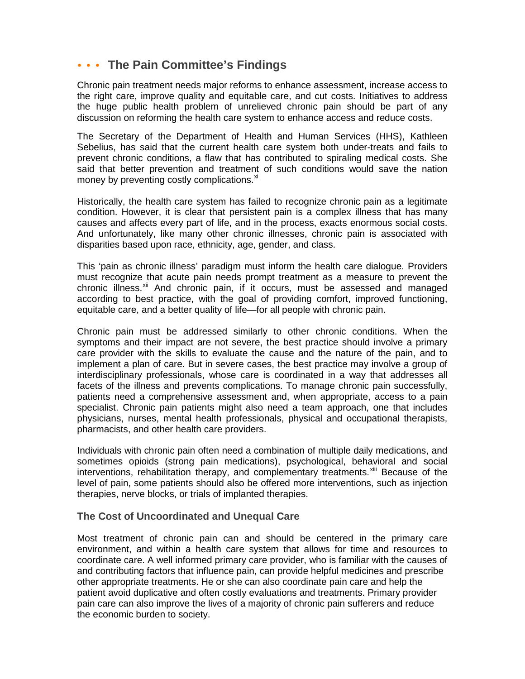# **The Pain Committee's Findings**

Chronic pain treatment needs major reforms to enhance assessment, increase access to the right care, improve quality and equitable care, and cut costs. Initiatives to address the huge public health problem of unrelieved chronic pain should be part of any discussion on reforming the health care system to enhance access and reduce costs.

The Secretary of the Department of Health and Human Services (HHS), Kathleen Sebelius, has said that the current health care system both under-treats and fails to prevent chronic conditions, a flaw that has contributed to spiraling medical costs. She said that better prevention and treatment of such conditions would save the nation money by preventing costly complications.<sup>[xi](#page-14-10)</sup>

Historically, the health care system has failed to recognize chronic pain as a legitimate condition. However, it is clear that persistent pain is a complex illness that has many causes and affects every part of life, and in the process, exacts enormous social costs. And unfortunately, like many other chronic illnesses, chronic pain is associated with disparities based upon race, ethnicity, age, gender, and class.

This 'pain as chronic illness' paradigm must inform the health care dialogue. Providers must recognize that acute pain needs prompt treatment as a measure to prevent the chronic illness.<sup>[xii](#page-14-11)</sup> And chronic pain, if it occurs, must be assessed and managed according to best practice, with the goal of providing comfort, improved functioning, equitable care, and a better quality of life—for all people with chronic pain.

Chronic pain must be addressed similarly to other chronic conditions. When the symptoms and their impact are not severe, the best practice should involve a primary care provider with the skills to evaluate the cause and the nature of the pain, and to implement a plan of care. But in severe cases, the best practice may involve a group of interdisciplinary professionals, whose care is coordinated in a way that addresses all facets of the illness and prevents complications. To manage chronic pain successfully, patients need a comprehensive assessment and, when appropriate, access to a pain specialist. Chronic pain patients might also need a team approach, one that includes physicians, nurses, mental health professionals, physical and occupational therapists, pharmacists, and other health care providers.

Individuals with chronic pain often need a combination of multiple daily medications, and sometimes opioids (strong pain medications), psychological, behavioral and social interventions, rehabilitation therapy, and complementary treatments.<sup>[xiii](#page-14-12)</sup> Because of the level of pain, some patients should also be offered more interventions, such as injection therapies, nerve blocks, or trials of implanted therapies.

# **The Cost of Uncoordinated and Unequal Care**

Most treatment of chronic pain can and should be centered in the primary care environment, and within a health care system that allows for time and resources to coordinate care. A well informed primary care provider, who is familiar with the causes of and contributing factors that influence pain, can provide helpful medicines and prescribe other appropriate treatments. He or she can also coordinate pain care and help the patient avoid duplicative and often costly evaluations and treatments. Primary provider pain care can also improve the lives of a majority of chronic pain sufferers and reduce the economic burden to society.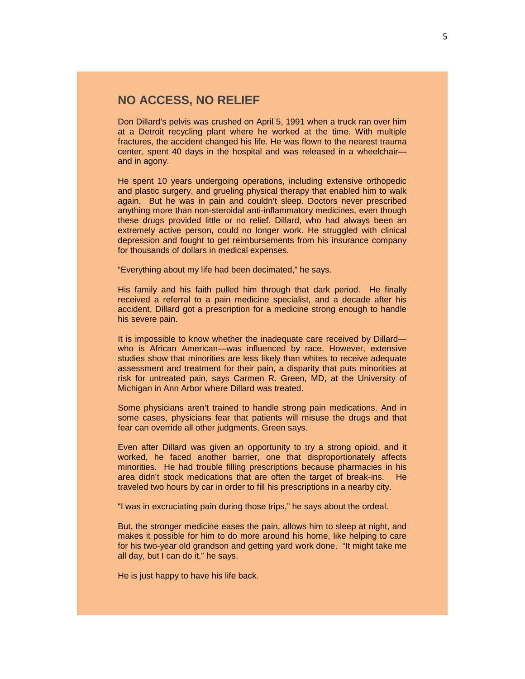# **NO ACCESS, NO RELIEF**

Don Dillard's pelvis was crushed on April 5, 1991 when a truck ran over him at a Detroit recycling plant where he worked at the time. With multiple fractures, the accident changed his life. He was flown to the nearest trauma center, spent 40 days in the hospital and was released in a wheelchair and in agony.

He spent 10 years undergoing operations, including extensive orthopedic and plastic surgery, and grueling physical therapy that enabled him to walk again. But he was in pain and couldn't sleep. Doctors never prescribed anything more than non-steroidal anti-inflammatory medicines, even though these drugs provided little or no relief. Dillard, who had always been an extremely active person, could no longer work. He struggled with clinical depression and fought to get reimbursements from his insurance company for thousands of dollars in medical expenses.

"Everything about my life had been decimated," he says.

His family and his faith pulled him through that dark period. He finally received a referral to a pain medicine specialist, and a decade after his accident, Dillard got a prescription for a medicine strong enough to handle his severe pain.

It is impossible to know whether the inadequate care received by Dillard who is African American—was influenced by race. However, extensive studies show that minorities are less likely than whites to receive adequate assessment and treatment for their pain, a disparity that puts minorities at risk for untreated pain, says Carmen R. Green, MD, at the University of Michigan in Ann Arbor where Dillard was treated.

Some physicians aren't trained to handle strong pain medications. And in some cases, physicians fear that patients will misuse the drugs and that fear can override all other judgments, Green says.

Even after Dillard was given an opportunity to try a strong opioid, and it worked, he faced another barrier, one that disproportionately affects minorities. He had trouble filling prescriptions because pharmacies in his area didn't stock medications that are often the target of break-ins. He traveled two hours by car in order to fill his prescriptions in a nearby city.

"I was in excruciating pain during those trips," he says about the ordeal.

But, the stronger medicine eases the pain, allows him to sleep at night, and makes it possible for him to do more around his home, like helping to care for his two-year old grandson and getting yard work done. "It might take me all day, but I can do it," he says.

He is just happy to have his life back.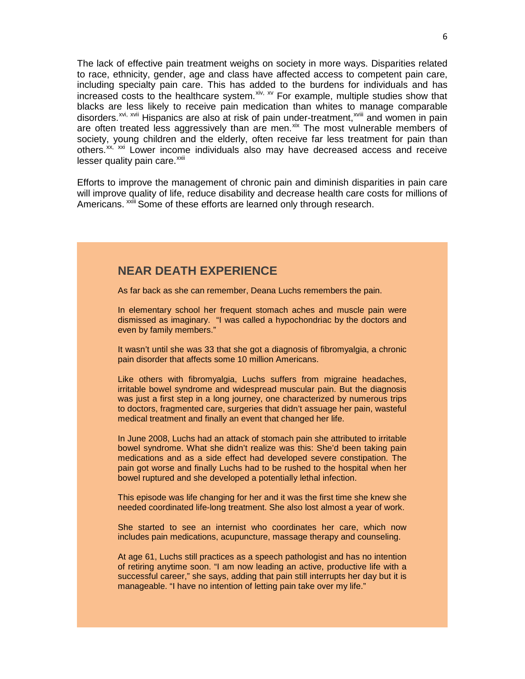The lack of effective pain treatment weighs on society in more ways. Disparities related to race, ethnicity, gender, age and class have affected access to competent pain care, including specialty pain care. This has added to the burdens for individuals and has increased costs to the healthcare system. Xiv, XV For example, multiple studies show that disorders.<sup>[xvi](#page-15-2), [xvii](#page-15-3)</sup> Hispanics are also at risk of pain under-treatment,<sup>xviii</sup> and women in pain blacks are less likely to receive pain medication than whites to [m](#page-15-4)anage comparable are often treated less aggressively than are men. $x^k$  The most vulnerable members of society, young children and the elderly, often receive far less treatment for pain than others.<sup>[xx,](#page-15-6) [xxi](#page-15-7)</sup> Lower income individuals also may have decreased access and receive  $lesser$  quality pain care. $x$ <sup>xii</sup>

Efforts to improve the management of chronic pain and diminish disparities in pain care will improve q[u](#page-15-9)ality of life, reduce disability and decrease health care costs for millions of Americans. <sup>xxiii</sup> Some of these efforts are learned only through research.

# **NEAR DEATH EXPERIENCE**

As far back as she can remember, Deana Luchs remembers the pain.

In elementary school her frequent stomach aches and muscle pain were dismissed as imaginary. "I was called a hypochondriac by the doctors and even by family members."

It wasn't until she was 33 that she got a diagnosis of fibromyalgia, a chronic pain disorder that affects some 10 million Americans.

Like others with fibromyalgia, Luchs suffers from migraine headaches, irritable bowel syndrome and widespread muscular pain. But the diagnosis was just a first step in a long journey, one characterized by numerous trips to doctors, fragmented care, surgeries that didn't assuage her pain, wasteful medical treatment and finally an event that changed her life.

In June 2008, Luchs had an attack of stomach pain she attributed to irritable bowel syndrome. What she didn't realize was this: She'd been taking pain medications and as a side effect had developed severe constipation. The pain got worse and finally Luchs had to be rushed to the hospital when her bowel ruptured and she developed a potentially lethal infection.

This episode was life changing for her and it was the first time she knew she needed coordinated life-long treatment. She also lost almost a year of work.

She started to see an internist who coordinates her care, which now includes pain medications, acupuncture, massage therapy and counseling.

At age 61, Luchs still practices as a speech pathologist and has no intention of retiring anytime soon. "I am now leading an active, productive life with a successful career," she says, adding that pain still interrupts her day but it is manageable. "I have no intention of letting pain take over my life."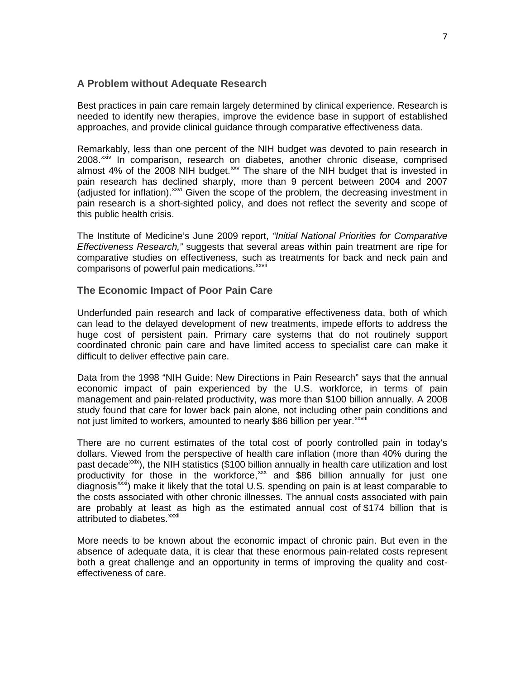## **A Problem without Adequate Research**

Best practices in pain care remain largely determined by clinical experience. Research is needed to identify new therapies, improve the evidence base in support of established approaches, and provide clinical guidance through comparative effectiveness data.

Remarkably, less than one percent of the NIH budget was devoted to pain research in 2008.<sup>[xxiv](#page-15-10)</sup> In comparison, research on diabetes, another chronic disease, comprised almost 4% of the 2008 NIH budget. $xw$  The share of the NIH budget that is invested in pain research has declined sharply, more than 9 percent between 2004 and 2007 (adjusted for inflation). XXVi Given the scope of the problem, the decreasing investment in pain research is a short-sighted policy, and does not reflect the severity and scope of this public health crisis.

The Institute of Medicine's June 2009 report, *"Initial National Priorities for Comparative Effectiveness Research,"* suggests that several areas within pain treatment are ripe for comparative studies on effectiveness, such [a](#page-15-13)s treatments for back and neck pain and comparisons of powerful pain medications.<sup>xxvii</sup>

## **The Economic Impact of Poor Pain Care**

Underfunded pain research and lack of comparative effectiveness data, both of which can lead to the delayed development of new treatments, impede efforts to address the huge cost of persistent pain. Primary care systems that do not routinely support coordinated chronic pain care and have limited access to specialist care can make it difficult to deliver effective pain care.

Data from the 1998 "NIH Guide: New Directions in Pain Research" says that the annual economic impact of pain experienced by the U.S. workforce, in terms of pain management and pain-related productivity, was more than \$100 billion annually. A 2008 study found that care for lower back pain alone, not including other [pa](#page-15-14)in conditions and not just limited to workers, amounted to nearly \$86 billion per vear.<sup>xxviii</sup>

There are no current estimates of the total cost of poorly controlled pain in today's dollars. Viewed from the perspective of health care inflation (more than 40% during the past decade<sup>[xxix](#page-15-15)</sup>), the NIH statistics (\$100 billion annually in health care utilization and lost attributed to diabetes.<sup>xxxii</sup> productivity for those in the workforce, $\frac{x}{x}$  and \$86 billion annually for just one  $\alpha$  diagnosis<sup>xxxi</sup>) make it likely that the total U.S. spending on pain is at least comparable to the costs associated with other chronic illnesses. The annual costs associated with pain are probably at least [as](#page-16-0) high as the estimated annual cost of \$174 billion that is

More needs to be known about the economic impact of chronic pain. But even in the absence of adequate data, it is clear that these enormous pain-related costs represent both a great challenge and an opportunity in terms of improving the quality and costeffectiveness of care.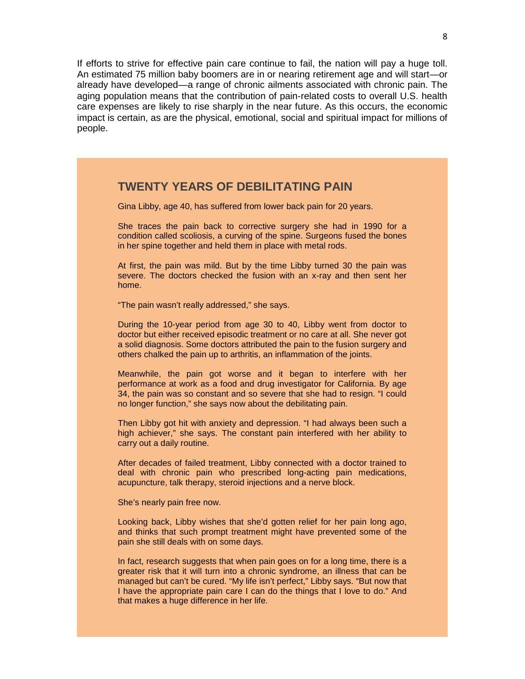If efforts to strive for effective pain care continue to fail, the nation will pay a huge toll. An estimated 75 million baby boomers are in or nearing retirement age and will start—or already have developed—a range of chronic ailments associated with chronic pain. The aging population means that the contribution of pain-related costs to overall U.S. health care expenses are likely to rise sharply in the near future. As this occurs, the economic impact is certain, as are the physical, emotional, social and spiritual impact for millions of people.

# **TWENTY YEARS OF DEBILITATING PAIN**

Gina Libby, age 40, has suffered from lower back pain for 20 years.

She traces the pain back to corrective surgery she had in 1990 for a condition called scoliosis, a curving of the spine. Surgeons fused the bones in her spine together and held them in place with metal rods.

At first, the pain was mild. But by the time Libby turned 30 the pain was severe. The doctors checked the fusion with an x-ray and then sent her home.

"The pain wasn't really addressed," she says.

During the 10-year period from age 30 to 40, Libby went from doctor to doctor but either received episodic treatment or no care at all. She never got a solid diagnosis. Some doctors attributed the pain to the fusion surgery and others chalked the pain up to arthritis, an inflammation of the joints.

Meanwhile, the pain got worse and it began to interfere with her performance at work as a food and drug investigator for California. By age 34, the pain was so constant and so severe that she had to resign. "I could no longer function," she says now about the debilitating pain.

Then Libby got hit with anxiety and depression. "I had always been such a high achiever," she says. The constant pain interfered with her ability to carry out a daily routine.

After decades of failed treatment, Libby connected with a doctor trained to deal with chronic pain who prescribed long-acting pain medications, acupuncture, talk therapy, steroid injections and a nerve block.

She's nearly pain free now.

Looking back, Libby wishes that she'd gotten relief for her pain long ago, and thinks that such prompt treatment might have prevented some of the pain she still deals with on some days.

In fact, research suggests that when pain goes on for a long time, there is a greater risk that it will turn into a chronic syndrome, an illness that can be managed but can't be cured. "My life isn't perfect," Libby says. "But now that I have the appropriate pain care I can do the things that I love to do." And that makes a huge difference in her life.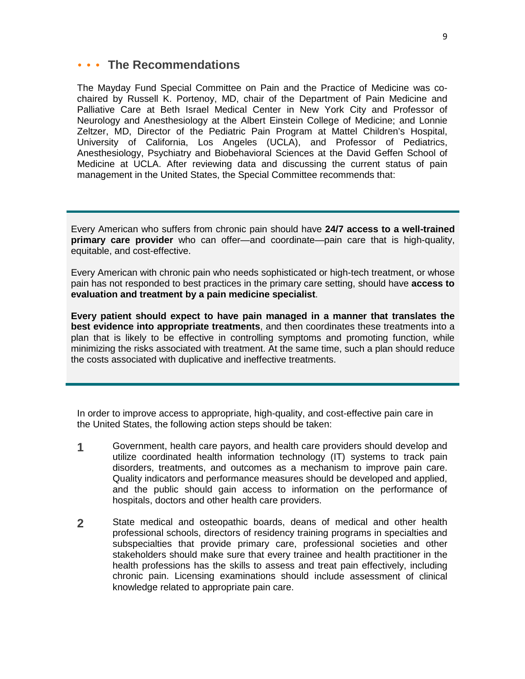# **The Recommendations**

The Mayday Fund Special Committee on Pain and the Practice of Medicine was cochaired by Russell K. Portenoy, MD, chair of the Department of Pain Medicine and Palliative Care at Beth Israel Medical Center in New York City and Professor of Neurology and Anesthesiology at the Albert Einstein College of Medicine; and Lonnie Zeltzer, MD, Director of the Pediatric Pain Program at Mattel Children's Hospital, University of California, Los Angeles (UCLA), and Professor of Pediatrics, Anesthesiology, Psychiatry and Biobehavioral Sciences at the David Geffen School of Medicine at UCLA. After reviewing data and discussing the current status of pain management in the United States, the Special Committee recommends that:

Every American who suffers from chronic pain should have **24/7 access to a well-trained primary care provider** who can offer—and coordinate—pain care that is high-quality, equitable, and cost-effective.

Every American with chronic pain who needs sophisticated or high-tech treatment, or whose pain has not responded to best practices in the primary care setting, should have **access to evaluation and treatment by a pain medicine specialist**.

**Every patient should expect to have pain managed in a manner that translates the best evidence into appropriate treatments**, and then coordinates these treatments into a plan that is likely to be effective in controlling symptoms and promoting function, while minimizing the risks associated with treatment. At the same time, such a plan should reduce the costs associated with duplicative and ineffective treatments.

In order to improve access to appropriate, high-quality, and cost-effective pain care in the United States, the following action steps should be taken:

- **1** Government, health care payors, and health care providers should develop and utilize coordinated health information technology (IT) systems to track pain disorders, treatments, and outcomes as a mechanism to improve pain care. Quality indicators and performance measures should be developed and applied, and the public should gain access to information on the performance of hospitals, doctors and other health care providers.
- **2** State medical and osteopathic boards, deans of medical and other health professional schools, directors of residency training programs in specialties and subspecialties that provide primary care, professional societies and other stakeholders should make sure that every trainee and health practitioner in the health professions has the skills to assess and treat pain effectively, including chronic pain. Licensing examinations should include assessment of clinical knowledge related to appropriate pain care.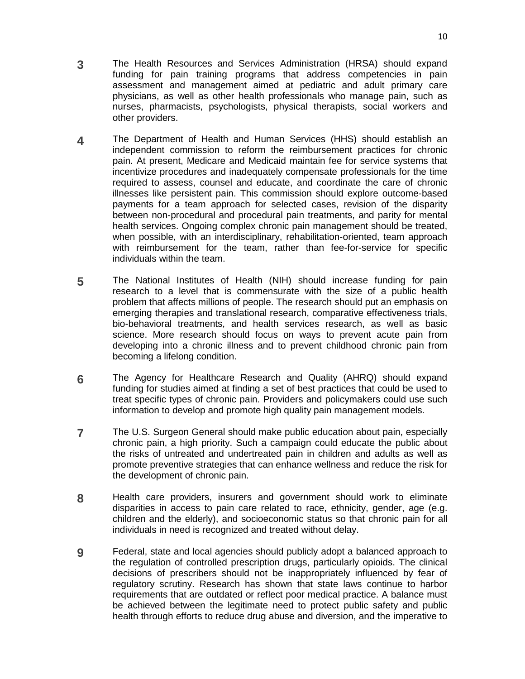- **3** The Health Resources and Services Administration (HRSA) should expand funding for pain training programs that address competencies in pain assessment and management aimed at pediatric and adult primary care physicians, as well as other health professionals who manage pain, such as nurses, pharmacists, psychologists, physical therapists, social workers and other providers.
- **4** The Department of Health and Human Services (HHS) should establish an independent commission to reform the reimbursement practices for chronic pain. At present, Medicare and Medicaid maintain fee for service systems that incentivize procedures and inadequately compensate professionals for the time required to assess, counsel and educate, and coordinate the care of chronic illnesses like persistent pain. This commission should explore outcome-based payments for a team approach for selected cases, revision of the disparity between non-procedural and procedural pain treatments, and parity for mental health services. Ongoing complex chronic pain management should be treated, when possible, with an interdisciplinary, rehabilitation-oriented, team approach with reimbursement for the team, rather than fee-for-service for specific individuals within the team.
- **5** The National Institutes of Health (NIH) should increase funding for pain research to a level that is commensurate with the size of a public health problem that affects millions of people. The research should put an emphasis on emerging therapies and translational research, comparative effectiveness trials, bio-behavioral treatments, and health services research, as well as basic science. More research should focus on ways to prevent acute pain from developing into a chronic illness and to prevent childhood chronic pain from becoming a lifelong condition.
- **6** The Agency for Healthcare Research and Quality (AHRQ) should expand funding for studies aimed at finding a set of best practices that could be used to treat specific types of chronic pain. Providers and policymakers could use such information to develop and promote high quality pain management models.
- **7** The U.S. Surgeon General should make public education about pain, especially chronic pain, a high priority. Such a campaign could educate the public about the risks of untreated and undertreated pain in children and adults as well as promote preventive strategies that can enhance wellness and reduce the risk for the development of chronic pain.
- **8** Health care providers, insurers and government should work to eliminate disparities in access to pain care related to race, ethnicity, gender, age (e.g. children and the elderly), and socioeconomic status so that chronic pain for all individuals in need is recognized and treated without delay.
- **9** Federal, state and local agencies should publicly adopt a balanced approach to the regulation of controlled prescription drugs, particularly opioids. The clinical decisions of prescribers should not be inappropriately influenced by fear of regulatory scrutiny. Research has shown that state laws continue to harbor requirements that are outdated or reflect poor medical practice. A balance must be achieved between the legitimate need to protect public safety and public health through efforts to reduce drug abuse and diversion, and the imperative to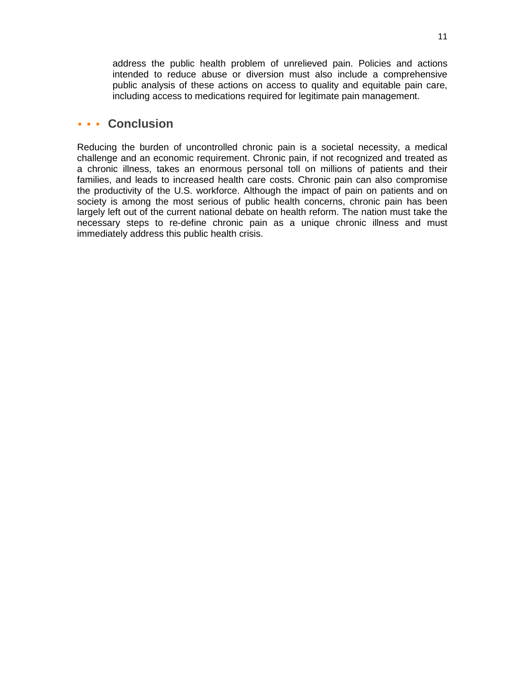address the public health problem of unrelieved pain. Policies and actions intended to reduce abuse or diversion must also include a comprehensive public analysis of these actions on access to quality and equitable pain care, including access to medications required for legitimate pain management.

# **Conclusion**

Reducing the burden of uncontrolled chronic pain is a societal necessity, a medical challenge and an economic requirement. Chronic pain, if not recognized and treated as a chronic illness, takes an enormous personal toll on millions of patients and their families, and leads to increased health care costs. Chronic pain can also compromise the productivity of the U.S. workforce. Although the impact of pain on patients and on society is among the most serious of public health concerns, chronic pain has been largely left out of the current national debate on health reform. The nation must take the necessary steps to re-define chronic pain as a unique chronic illness and must immediately address this public health crisis.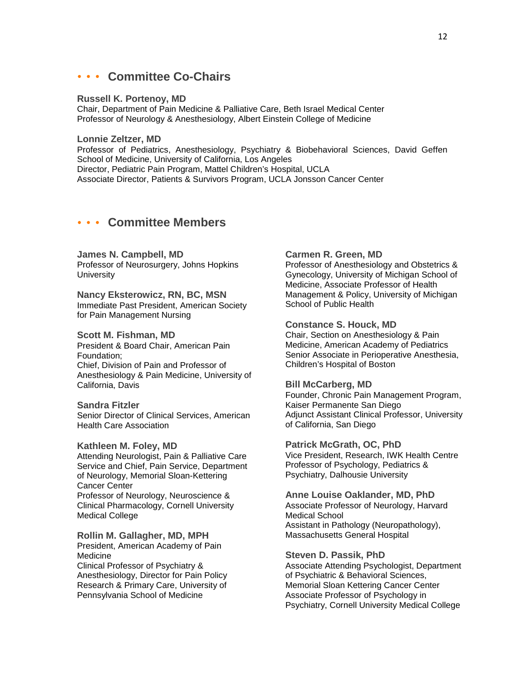#### **Committee Co-Chairs**  $\begin{array}{ccccccccc} \bullet & \bullet & \bullet & \bullet & \bullet & \bullet \end{array}$

#### **Russell K. Portenoy, MD**

Chair, Department of Pain Medicine & Palliative Care, Beth Israel Medical Center Professor of Neurology & Anesthesiology, Albert Einstein College of Medicine

## **Lonnie Zeltzer, MD**

Professor of Pediatrics, Anesthesiology, Psychiatry & Biobehavioral Sciences, David Geffen School of Medicine, University of California, Los Angeles Director, Pediatric Pain Program, Mattel Children's Hospital, UCLA Associate Director, Patients & Survivors Program, UCLA Jonsson Cancer Center

# **Committee Members**

## **James N. Campbell, MD**

Professor of Neurosurgery, Johns Hopkins **University** 

## **Nancy Eksterowicz, RN, BC, MSN** Immediate Past President, American Society for Pain Management Nursing

## **Scott M. Fishman, MD**

President & Board Chair, American Pain Foundation; Chief, Division of Pain and Professor of Anesthesiology & Pain Medicine, University of California, Davis

## **Sandra Fitzler**

Senior Director of Clinical Services, American Health Care Association

#### **Kathleen M. Foley, MD**

Attending Neurologist, Pain & Palliative Care Service and Chief, Pain Service, Department of Neurology, Memorial Sloan-Kettering Cancer Center Professor of Neurology, Neuroscience & Clinical Pharmacology, Cornell University Medical College

#### **Rollin M. Gallagher, MD, MPH**

President, American Academy of Pain **Medicine** Clinical Professor of Psychiatry & Anesthesiology, Director for Pain Policy Research & Primary Care, University of Pennsylvania School of Medicine

## **Carmen R. Green, MD**

Professor of Anesthesiology and Obstetrics & Gynecology, University of Michigan School of Medicine, Associate Professor of Health Management & Policy, University of Michigan School of Public Health

## **Constance S. Houck, MD**

Chair, Section on Anesthesiology & Pain Medicine, American Academy of Pediatrics Senior Associate in Perioperative Anesthesia, Children's Hospital of Boston

## **Bill McCarberg, MD**

Founder, Chronic Pain Management Program, Kaiser Permanente San Diego Adjunct Assistant Clinical Professor, University of California, San Diego

#### **Patrick McGrath, OC, PhD**

Vice President, Research, IWK Health Centre Professor of Psychology, Pediatrics & Psychiatry, Dalhousie University

## **Anne Louise Oaklander, MD, PhD**

Associate Professor of Neurology, Harvard Medical School Assistant in Pathology (Neuropathology), Massachusetts General Hospital

#### **Steven D. Passik, PhD**

Associate Attending Psychologist, Department of Psychiatric & Behavioral Sciences, Memorial Sloan Kettering Cancer Center Associate Professor of Psychology in Psychiatry, Cornell University Medical College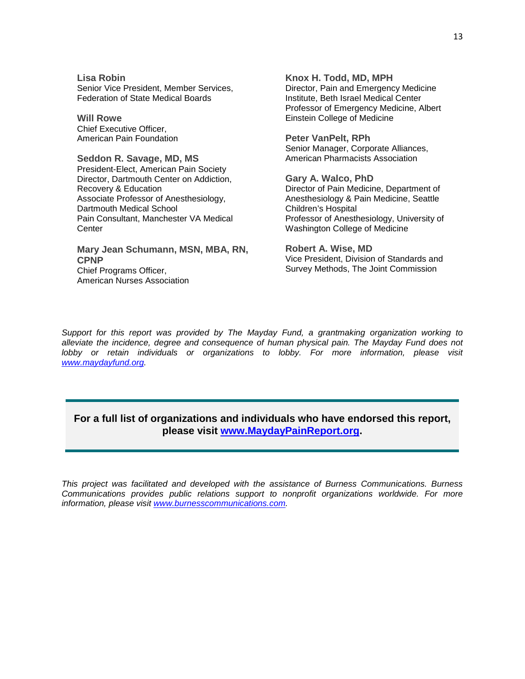**Lisa Robin** Senior Vice President, Member Services, Federation of State Medical Boards

**Will Rowe** Chief Executive Officer, American Pain Foundation

**Seddon R. Savage, MD, MS** President-Elect, American Pain Society Director, Dartmouth Center on Addiction, Recovery & Education Associate Professor of Anesthesiology, Dartmouth Medical School Pain Consultant, Manchester VA Medical Center

**Mary Jean Schumann, MSN, MBA, RN, CPNP** Chief Programs Officer, American Nurses Association

**Knox H. Todd, MD, MPH** Director, Pain and Emergency Medicine Institute, Beth Israel Medical Center Professor of Emergency Medicine, Albert Einstein College of Medicine

**Peter VanPelt, RPh** Senior Manager, Corporate Alliances, American Pharmacists Association

**Gary A. Walco, PhD** Director of Pain Medicine, Department of Anesthesiology & Pain Medicine, Seattle Children's Hospital Professor of Anesthesiology, University of Washington College of Medicine

**Robert A. Wise, MD** Vice President, Division of Standards and Survey Methods, The Joint Commission

*Support for this report was provided by The Mayday Fund, a grantmaking organization working to alleviate the incidence, degree and consequence of human physical pain. The Mayday Fund does not lobby or retain individuals or organizations to lobby. For more information, please visit [www.maydayfund.org.](http://www.maydayfund.org/)* 

## **For a full list of organizations and individuals who have endorsed this report, please visit [www.MaydayPainReport.org.](http://www.maydaypainreport.org/)**

*This project was facilitated and developed with the assistance of Burness Communications. Burness Communications provides public relations support to nonprofit organizations worldwide. For more information, please visit [www.burnesscommunications.com.](http://www.burnesscommunications.com/)*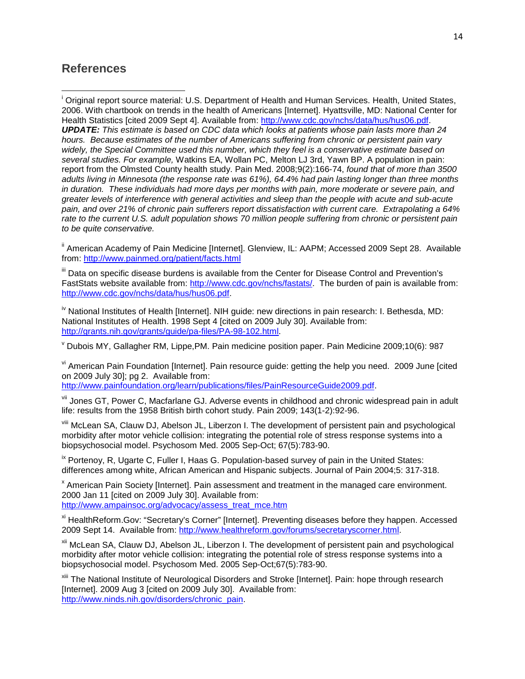# **References**

l

<span id="page-14-0"></span>i Original report source material: U.S. Department of Health and Human Services. Health, United States, 2006. With chartbook on trends in the health of Americans [Internet]. Hyattsville, MD: National Center for Health Statistics [cited 2009 Sept 4]. Available from: [http://www.cdc.gov/nchs/data/hus/hus06.pdf.](http://www.cdc.gov/nchs/data/hus/hus06.pdf)

*UPDATE: This estimate is based on CDC data which looks at patients whose pain lasts more than 24 hours. Because estimates of the number of Americans suffering from chronic or persistent pain vary widely, the Special Committee used this number, which they feel is a conservative estimate based on several studies. For example,* Watkins EA, Wollan PC, Melton LJ 3rd, Yawn BP. A population in pain: report from the Olmsted County health study. Pain Med. 2008;9(2):166-74, *found that of more than 3500 adults living in Minnesota (the response rate was 61%), 64.4% had pain lasting longer than three months in duration. These individuals had more days per months with pain, more moderate or severe pain, and greater levels of interference with general activities and sleep than the people with acute and sub-acute pain, and over 21% of chronic pain sufferers report dissatisfaction with current care. Extrapolating a 64% rate to the current U.S. adult population shows 70 million people suffering from chronic or persistent pain to be quite conservative.*

<span id="page-14-1"></span>ii American Academy of Pain Medicine [Internet]. Glenview, IL: AAPM; Accessed 2009 Sept 28. Available from:<http://www.painmed.org/patient/facts.html>

<span id="page-14-2"></span>III Data on specific disease burdens is available from the Center for Disease Control and Prevention's FastStats website available from: [http://www.cdc.gov/nchs/fastats/.](http://www.cdc.gov/nchs/fastats/) The burden of pain is available from: [http://www.cdc.gov/nchs/data/hus/hus06.pdf.](http://www.cdc.gov/nchs/data/hus/hus06.pdf)

<span id="page-14-3"></span><sup>iv</sup> National Institutes of Health [Internet]. NIH guide: new directions in pain research: I. Bethesda, MD: National Institutes of Health. 1998 Sept 4 [cited on 2009 July 30]. Available from: [http://grants.nih.gov/grants/guide/pa-files/PA-98-102.html.](http://grants.nih.gov/grants/guide/pa-files/PA-98-102.html)

<span id="page-14-4"></span> $\rm v$  Dubois MY, Gallagher RM, Lippe,PM, Pain medicine position paper. Pain Medicine 2009;10(6): 987

<span id="page-14-5"></span>v<sup>i</sup> American Pain Foundation [Internet]. Pain resource guide: getting the help you need. 2009 June [cited] on 2009 July 30]; pg 2. Available from:

[http://www.painfoundation.org/learn/publications/files/PainResourceGuide2009.pdf.](http://www.painfoundation.org/learn/publications/files/PainResourceGuide2009.pdf)

<span id="page-14-6"></span>vii Jones GT, Power C, Macfarlane GJ. Adverse events in childhood and chronic widespread pain in adult life: results from the 1958 British birth cohort study. Pain 2009; 143(1-2):92-96.

<span id="page-14-7"></span>viii McLean SA, Clauw DJ, Abelson JL, Liberzon I. The development of persistent pain and psychological morbidity after motor vehicle collision: integrating the potential role of stress response systems into a biopsychosocial model. Psychosom Med. 2005 Sep-Oct; 67(5):783-90.

<span id="page-14-8"></span> $\frac{1}{x}$  Portenoy, R, Ugarte C, Fuller I, Haas G. Population-based survey of pain in the United States: differences among white, African American and Hispanic subjects. Journal of Pain 2004;5: 317-318.

<span id="page-14-9"></span><sup>x</sup> American Pain Society [Internet]. Pain assessment and treatment in the managed care environment. 2000 Jan 11 [cited on 2009 July 30]. Available from: [http://www.ampainsoc.org/advocacy/assess\\_treat\\_mce.htm](http://www.ampainsoc.org/advocacy/assess_treat_mce.htm)

<span id="page-14-10"></span>xi HealthReform.Gov: "Secretary's Corner" [Internet]. Preventing diseases before they happen. Accessed 2009 Sept 14. Available from[: http://www.healthreform.gov/forums/secretaryscorner.html.](http://www.healthreform.gov/forums/secretaryscorner.html)

<span id="page-14-11"></span>xii McLean SA, Clauw DJ, Abelson JL, Liberzon I. The development of persistent pain and psychological morbidity after motor vehicle collision: integrating the potential role of stress response systems into a biopsychosocial model. Psychosom Med. 2005 Sep-Oct;67(5):783-90.

<span id="page-14-12"></span>xiii The National Institute of Neurological Disorders and Stroke [Internet]. Pain: hope through research [Internet]. 2009 Aug 3 [cited on 2009 July 30]. Available from: [http://www.ninds.nih.gov/disorders/chronic\\_pain.](http://www.ninds.nih.gov/disorders/chronic_pain)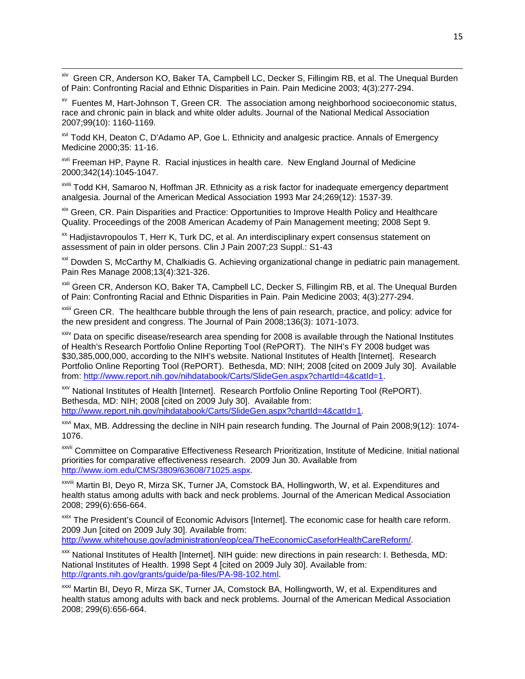<span id="page-15-0"></span>xiv Green CR, Anderson KO, Baker TA, Campbell LC, Decker S, Fillingim RB, et al. The Unequal Burden of Pain: Confronting Racial and Ethnic Disparities in Pain. Pain Medicine 2003; 4(3):277-294.

<span id="page-15-1"></span> $\lambda$ <sup>xv</sup> Fuentes M, Hart-Johnson T, Green CR. The association among neighborhood socioeconomic status, race and chronic pain in black and white older adults. Journal of the National Medical Association 2007;99(10): 1160-1169.

<span id="page-15-2"></span><sup>xvi</sup> Todd KH, Deaton C, D'Adamo AP, Goe L. Ethnicity and analgesic practice. Annals of Emergency Medicine 2000;35: 11-16.

<span id="page-15-3"></span>xvii Freeman HP, Payne R. Racial injustices in health care. New England Journal of Medicine 2000;342(14):1045-1047.

 $\overline{\phantom{0}}$ 

<span id="page-15-4"></span>xviii Todd KH, Samaroo N, Hoffman JR. Ethnicity as a risk factor for inadequate emergency department analgesia. Journal of the American Medical Association 1993 Mar 24;269(12): 1537-39.

<span id="page-15-5"></span>xix Green, CR. Pain Disparities and Practice: Opportunities to Improve Health Policy and Healthcare Quality. Proceedings of the 2008 American Academy of Pain Management meeting; 2008 Sept 9.

<span id="page-15-6"></span><sup>xx</sup> Hadjistavropoulos T, Herr K, Turk DC, et al. An interdisciplinary expert consensus statement on assessment of pain in older persons. Clin J Pain 2007;23 Suppl.: S1-43

<span id="page-15-7"></span><sup>xxi</sup> Dowden S, McCarthy M, Chalkiadis G. Achieving organizational change in pediatric pain management. Pain Res Manage 2008;13(4):321-326.

<span id="page-15-8"></span><sup>xxii</sup> Green CR, Anderson KO, Baker TA, Campbell LC, Decker S, Fillingim RB, et al. The Unequal Burden of Pain: Confronting Racial and Ethnic Disparities in Pain. Pain Medicine 2003; 4(3):277-294.

<span id="page-15-9"></span><sup>xxiii</sup> Green CR. The healthcare bubble through the lens of pain research, practice, and policy: advice for the new president and congress. The Journal of Pain 2008;136(3): 1071-1073.

<span id="page-15-10"></span>xxiv Data on specific disease/research area spending for 2008 is available through the National Institutes of Health's Research Portfolio Online Reporting Tool (RePORT). The NIH's FY 2008 budget was \$30,385,000,000, according to the NIH's website. National Institutes of Health [Internet]. Research Portfolio Online Reporting Tool (RePORT). Bethesda, MD: NIH; 2008 [cited on 2009 July 30]. Available from: [http://www.report.nih.gov/nihdatabook/Carts/SlideGen.aspx?chartId=4&catId=1.](http://www.report.nih.gov/nihdatabook/Carts/SlideGen.aspx?chartId=4&catId=1)

<span id="page-15-11"></span>xxv National Institutes of Health [Internet]. Research Portfolio Online Reporting Tool (RePORT). Bethesda, MD: NIH; 2008 [cited on 2009 July 30]. Available from: [http://www.report.nih.gov/nihdatabook/Carts/SlideGen.aspx?chartId=4&catId=1.](http://www.report.nih.gov/nihdatabook/Carts/SlideGen.aspx?chartId=4&catId=1)

<span id="page-15-12"></span>xxvi Max, MB. Addressing the decline in NIH pain research funding. The Journal of Pain 2008;9(12): 1074-1076.

<span id="page-15-13"></span>xxvii Committee on Comparative Effectiveness Research Prioritization, Institute of Medicine. Initial national priorities for comparative effectiveness research. 2009 Jun 30. Available from [http://www.iom.edu/CMS/3809/63608/71025.aspx.](http://www.iom.edu/CMS/3809/63608/71025.aspx)

<span id="page-15-14"></span>xxviii Martin BI, Deyo R, Mirza SK, Turner JA, Comstock BA, Hollingworth, W, et al. Expenditures and health status among adults with back and neck problems. Journal of the American Medical Association 2008; 299(6):656-664.

<span id="page-15-15"></span><sup>xxix</sup> The President's Council of Economic Advisors [Internet]. The economic case for health care reform. 2009 Jun [cited on 2009 July 30]. Available from:

[http://www.whitehouse.gov/administration/eop/cea/TheEconomicCaseforHealthCareReform/.](http://www.whitehouse.gov/administration/eop/cea/TheEconomicCaseforHealthCareReform/)

<span id="page-15-16"></span>xxx National Institutes of Health [Internet]. NIH guide: new directions in pain research: I. Bethesda, MD: National Institutes of Health. 1998 Sept 4 [cited on 2009 July 30]. Available from: [http://grants.nih.gov/grants/guide/pa-files/PA-98-102.html.](http://grants.nih.gov/grants/guide/pa-files/PA-98-102.html)

<span id="page-15-17"></span>xxxi Martin BI, Deyo R, Mirza SK, Turner JA, Comstock BA, Hollingworth, W, et al. Expenditures and health status among adults with back and neck problems. Journal of the American Medical Association 2008; 299(6):656-664.